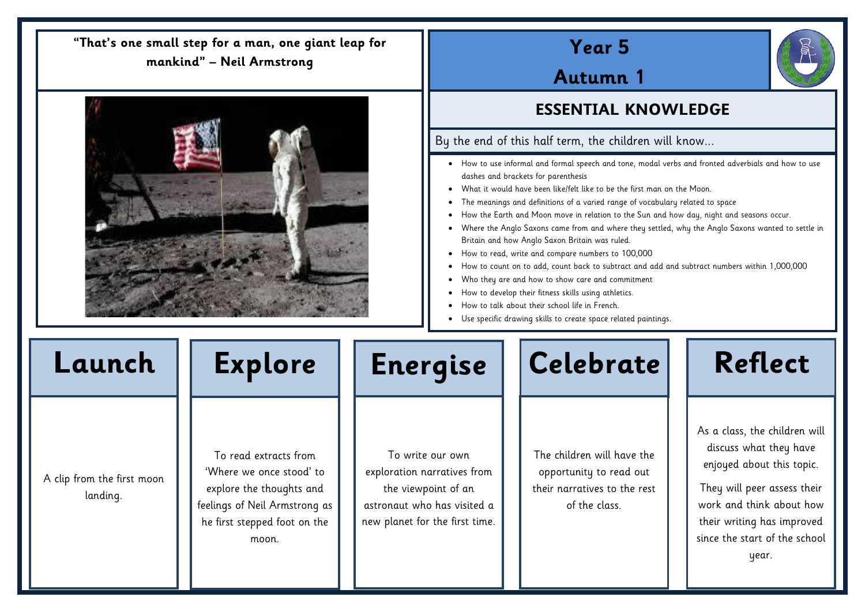# **Year 5**

# **Autumn 1**

## **ESSENTIAL KNOWLEDGE**

## By the end of this half term, the children will know...

- How to use informal and formal speech and tone, modal verbs and fronted adverbials and how to use dashes and brackets for parenthesis
- What it would have been like/felt like to be the first man on the Moon.
- The meanings and definitions of a varied range of vocabulary related to space
- How the Earth and Moon move in relation to the Sun and how day, night and seasons occur.
- Where the Anglo Saxons came from and where they settled, why the Anglo Saxons wanted to settle in Britain and how Anglo Saxon Britain was ruled.
- How to read, write and compare numbers to 100,000
- How to count on to add, count back to subtract and add and subtract numbers within 1,000,000
- Who they are and how to show care and commitment
- How to develop their fitness skills using athletics.
- How to talk about their school life in French.
- Use specific drawing skills to create space related paintings.

A clip from the first moon landing.

To read extracts from 'Where we once stood' to explore the thoughts and feelings of Neil Armstrong as he first stepped foot on the moon.

Ξ

To write our own exploration narratives from the viewpoint of an astronaut who has visited a new planet for the first time.



The children will have the opportunity to read out their narratives to the rest of the class.



## **"That's one small step for a man, one giant leap for mankind" – Neil Armstrong**